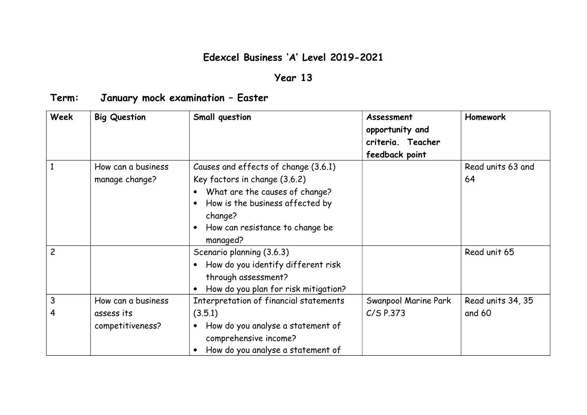## **Edexcel Business 'A' Level 2019-2021**

## **Year 13**

## **Term: January mock examination – Easter**

| <b>Week</b>    | <b>Big Question</b>                                  | Small question                                                                                                                                                                                       | Assessment<br>opportunity and<br>criteria. Teacher<br>feedback point | <b>Homework</b>             |
|----------------|------------------------------------------------------|------------------------------------------------------------------------------------------------------------------------------------------------------------------------------------------------------|----------------------------------------------------------------------|-----------------------------|
|                | How can a business<br>manage change?                 | Causes and effects of change (3.6.1)<br>Key factors in change (3.6.2)<br>What are the causes of change?<br>How is the business affected by<br>change?<br>How can resistance to change be<br>managed? |                                                                      | Read units 63 and<br>64     |
| $\overline{c}$ |                                                      | Scenario planning (3.6.3)<br>How do you identify different risk<br>through assessment?<br>How do you plan for risk mitigation?                                                                       |                                                                      | Read unit 65                |
| 3<br>4         | How can a business<br>assess its<br>competitiveness? | Interpretation of financial statements<br>(3.5.1)<br>How do you analyse a statement of<br>$\bullet$<br>comprehensive income?<br>How do you analyse a statement of                                    | Swanpool Marine Park<br>$C/S$ P.373                                  | Read units 34, 35<br>and 60 |